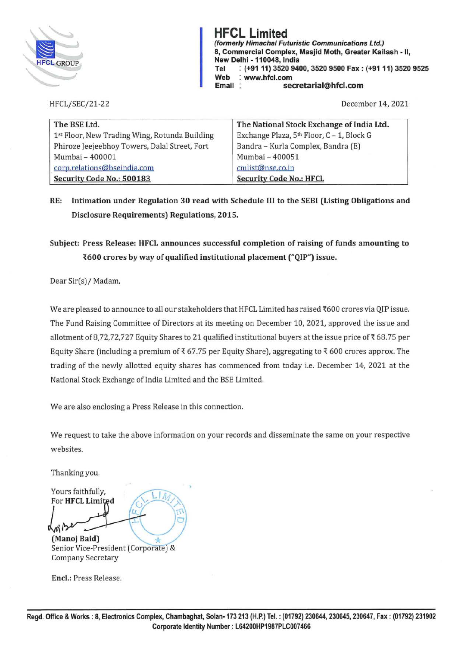

**HFCL Limited (formerly Himachal Futuristic Communications Ltd.) 8, Commercial Complex, Masjid Moth, Greater Kailash** - **11, New Delhi** - **110048, India Tel** : **(+91 11) 3520 9400, 3520 9500 Fax** : **(+91 11) 3520 9525 Web** : **www.hfcl.com Email** : **secretarial@hfcl.com** 

HFCL/SEC/21-22

December 14, 2021

| The BSE Ltd.                                  | The National Stock Exchange of India Ltd. |
|-----------------------------------------------|-------------------------------------------|
| 1st Floor, New Trading Wing, Rotunda Building | Exchange Plaza, 5th Floor, C - 1, Block G |
| Phiroze Jeejeebhoy Towers, Dalal Street, Fort | Bandra - Kurla Complex, Bandra (E)        |
| Mumbai - 400001                               | Mumbai - 400051                           |
| corp.relations@bseindia.com                   | cmlist@nse.co.in                          |
| Security Code No.: 500183                     | <b>Security Code No.: HFCL</b>            |

**RE: Intimation under Regulation 30 read with Schedule** III **to the SEBI (Listing Obligations and Disclosure Requirements) Regulations, 2015.** 

## **Subject: Press Release: HFCL announces successful completion of raising of funds amounting to i600 crores by way of qualified institutional placement ("QIP") issue.**

Dear Sir(s)/ Madam,

We are pleased to announce to all our stakeholders that HFCL Limited has raised ₹600 crores via QIP issue. The Fund Raising Committee of Directors at its meeting on December 10, 2021, approved the issue and allotment of 8,72,72,727 Equity Shares to 21 qualified institutional buyers at the issue price of  $\overline{\epsilon}$  68.75 per Equity Share (including a premium of  $\bar{\tau}$  67.75 per Equity Share), aggregating to  $\bar{\tau}$  600 crores approx. The trading of the newly allotted equity shares has commenced from today i.e. December 14, 2021 at the National Stock Exchange of India Limited and the BSE Limited.

We are also enclosing a Press Release in this connection.

We request to take the above information on your records and disseminate the same on your respective websites.

Thanking you.

Yours faithfully, For **HFCL** Limited **L 1999**<br> **(Manoj Baid)** 

Senior Vice-President (Corporate) & Company Secretary

**Encl.:** Press Release.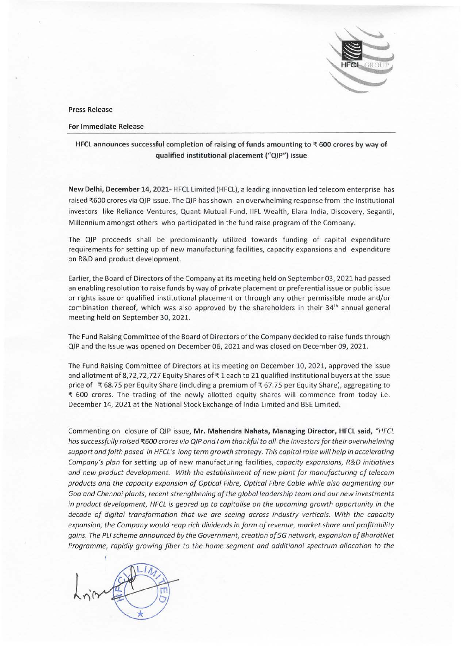

**Press Release** 

**For Immediate Release** 

## HFCL announces successful completion of raising of funds amounting to  $\bar{x}$  600 crores by way of **qualified institutional placement ("QIP") issue**

**New Delhi, December 14, 2021-** HFCL Limited (HFCL), a leading innovation led telecom enterprise has raised ₹600 crores via QIP issue. The QIP has shown an overwhelming response from the Institutional investors like Reliance Ventures, Quant Mutual Fund, IIFL Wealth, Elara India, Discovery, Segantii, Millennium amongst others who participated in the fund raise program of the Company.

The QIP proceeds shall be predominantly utilized towards funding of capital expenditure requirements for setting up of new manufacturing facilities, capacity expansions and expenditure on R&D and product development.

Earlier, the Board of Directors of the Company at its meeting held on September 03, 2021 had passed an enabling resolution to raise funds by way of private placement or preferential issue or public issue or rights issue or qualified institutional placement or through any other permissible mode and/or combination thereof, which was also approved by the shareholders in their  $34<sup>th</sup>$  annual general meeting held on September 30, 2021.

The Fund Raising Committee of the Board of Directors of the Company decided to raise funds through QIP and the Issue was opened on December 06, 2021 and was closed on December 09, 2021.

The Fund Raising Committee of Directors at its meeting on December 10, 2021, approved the issue and allotment of 8,72,72,727 Equity Shares of  $\bar{x}$  1 each to 21 qualified institutional buyers at the issue price of  $\bar{\tau}$  68.75 per Equity Share (including a premium of  $\bar{\tau}$  67.75 per Equity Share), aggregating to <sup>~</sup>600 crores. The trading of the newly allotted equity shares will commence from today i.e. December 14, 2021 at the National Stock Exchange of India Limited and BSE Limited .

Commenting on closure of QIP issue, **Mr. Mahendra Nahata, Managing Director, HFCL said,** *"HFCL has successfully raised* '{600 *crores via QIP and I am thankful to all the investors for their overwhelming support and faith posed in HFCL's long term growth strategy. This capital raise will help in accelerating Company's plan* for setting up of new manufacturing facilities, *capacity expansions, R&D initiatives and new product development. With the establishment of new plant for manufacturing of telecom products and the capacity expansion of Optical Fibre, Optical Fibre Cable while also augmenting our Goa and Chennai plants, recent strengthening of the global leadership team and our new investments in product development, HFCL is geared up to capitalise on the upcoming growth opportunity in the decade of digital transformation that we are seeing across industry verticals. With the capacity expansion, the Company would reap rich dividends in form of revenue, market share and profitability gains. The PL/ scheme announced by the Government, creation of SG network, expansion of BharatNet Programme, rapidly growing fiber to the home segment and additional spectrum allocation to the*